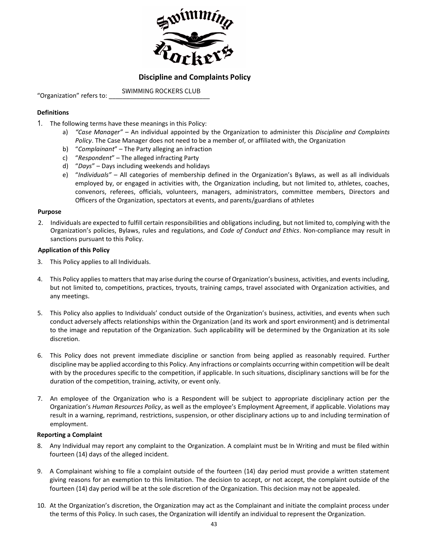

# **Discipline and Complaints Policy**

"Organization" refers to: SWIMMING ROCKERS CLUB

### **Definitions**

- 1. The following terms have these meanings in this Policy:
	- a) *"Case Manager"* An individual appointed by the Organization to administer this *Discipline and Complaints Policy*. The Case Manager does not need to be a member of, or affiliated with, the Organization
	- b) "*Complainant*" The Party alleging an infraction
	- c) "*Respondent*" The alleged infracting Party
	- d) "*Days*" Days including weekends and holidays
	- e) "*Individuals"* All categories of membership defined in the Organization's Bylaws, as well as all individuals employed by, or engaged in activities with, the Organization including, but not limited to, athletes, coaches, convenors, referees, officials, volunteers, managers, administrators, committee members, Directors and Officers of the Organization, spectators at events, and parents/guardians of athletes

#### **Purpose**

2. Individuals are expected to fulfill certain responsibilities and obligations including, but not limited to, complying with the Organization's policies, Bylaws, rules and regulations, and *Code of Conduct and Ethics*. Non-compliance may result in sanctions pursuant to this Policy.

#### **Application of this Policy**

- 3. This Policy applies to all Individuals.
- 4. This Policy applies to matters that may arise during the course of Organization's business, activities, and events including, but not limited to, competitions, practices, tryouts, training camps, travel associated with Organization activities, and any meetings.
- 5. This Policy also applies to Individuals' conduct outside of the Organization's business, activities, and events when such conduct adversely affects relationships within the Organization (and its work and sport environment) and is detrimental to the image and reputation of the Organization. Such applicability will be determined by the Organization at its sole discretion.
- 6. This Policy does not prevent immediate discipline or sanction from being applied as reasonably required. Further discipline may be applied according to this Policy. Any infractions or complaints occurring within competition will be dealt with by the procedures specific to the competition, if applicable. In such situations, disciplinary sanctions will be for the duration of the competition, training, activity, or event only.
- 7. An employee of the Organization who is a Respondent will be subject to appropriate disciplinary action per the Organization's *Human Resources Policy*, as well as the employee's Employment Agreement, if applicable. Violations may result in a warning, reprimand, restrictions, suspension, or other disciplinary actions up to and including termination of employment.

#### **Reporting a Complaint**

- 8. Any Individual may report any complaint to the Organization. A complaint must be In Writing and must be filed within fourteen (14) days of the alleged incident.
- 9. A Complainant wishing to file a complaint outside of the fourteen (14) day period must provide a written statement giving reasons for an exemption to this limitation. The decision to accept, or not accept, the complaint outside of the fourteen (14) day period will be at the sole discretion of the Organization. This decision may not be appealed.
- 10. At the Organization's discretion, the Organization may act as the Complainant and initiate the complaint process under the terms of this Policy. In such cases, the Organization will identify an individual to represent the Organization.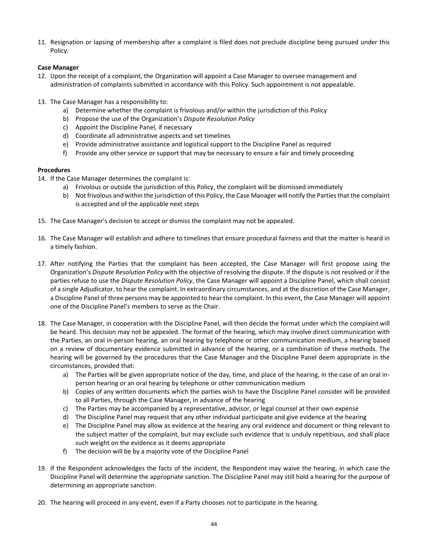11. Resignation or lapsing of membership after a complaint is filed does not preclude discipline being pursued under this Policy.

## **Case Manager**

- 12. Upon the receipt of a complaint, the Organization will appoint a Case Manager to oversee management and administration of complaints submitted in accordance with this Policy. Such appointment is not appealable.
- 13. The Case Manager has a responsibility to:
	- a) Determine whether the complaint is frivolous and/or within the jurisdiction of this Policy
	- b) Propose the use of the Organization's *Dispute Resolution Policy*
	- c) Appoint the Discipline Panel, if necessary
	- d) Coordinate all administrative aspects and set timelines
	- e) Provide administrative assistance and logistical support to the Discipline Panel as required
	- f) Provide any other service or support that may be necessary to ensure a fair and timely proceeding

## **Procedures**

- 14. If the Case Manager determines the complaint is:
	- a) Frivolous or outside the jurisdiction of this Policy, the complaint will be dismissed immediately
	- b) Not frivolous and within the jurisdiction of this Policy, the Case Manager will notify the Parties that the complaint is accepted and of the applicable next steps
- 15. The Case Manager's decision to accept or dismiss the complaint may not be appealed.
- 16. The Case Manager will establish and adhere to timelines that ensure procedural fairness and that the matter is heard in a timely fashion.
- 17. After notifying the Parties that the complaint has been accepted, the Case Manager will first propose using the Organization's *Dispute Resolution Policy* with the objective of resolving the dispute. If the dispute is not resolved or if the parties refuse to use the *Dispute Resolution Policy*, the Case Manager will appoint a Discipline Panel, which shall consist of a single Adjudicator, to hear the complaint. In extraordinary circumstances, and at the discretion of the Case Manager, a Discipline Panel of three persons may be appointed to hear the complaint. In this event, the Case Manager will appoint one of the Discipline Panel's members to serve as the Chair.
- 18. The Case Manager, in cooperation with the Discipline Panel, will then decide the format under which the complaint will be heard. This decision may not be appealed. The format of the hearing, which may involve direct communication with the Parties, an oral in-person hearing, an oral hearing by telephone or other communication medium, a hearing based on a review of documentary evidence submitted in advance of the hearing, or a combination of these methods. The hearing will be governed by the procedures that the Case Manager and the Discipline Panel deem appropriate in the circumstances, provided that:
	- a) The Parties will be given appropriate notice of the day, time, and place of the hearing, in the case of an oral inperson hearing or an oral hearing by telephone or other communication medium
	- b) Copies of any written documents which the parties wish to have the Discipline Panel consider will be provided to all Parties, through the Case Manager, in advance of the hearing
	- c) The Parties may be accompanied by a representative, advisor, or legal counsel at their own expense
	- d) The Discipline Panel may request that any other individual participate and give evidence at the hearing
	- e) The Discipline Panel may allow as evidence at the hearing any oral evidence and document or thing relevant to the subject matter of the complaint, but may exclude such evidence that is unduly repetitious, and shall place such weight on the evidence as it deems appropriate
	- f) The decision will be by a majority vote of the Discipline Panel
- 19. If the Respondent acknowledges the facts of the incident, the Respondent may waive the hearing, in which case the Discipline Panel will determine the appropriate sanction. The Discipline Panel may still hold a hearing for the purpose of determining an appropriate sanction.
- 20. The hearing will proceed in any event, even if a Party chooses not to participate in the hearing.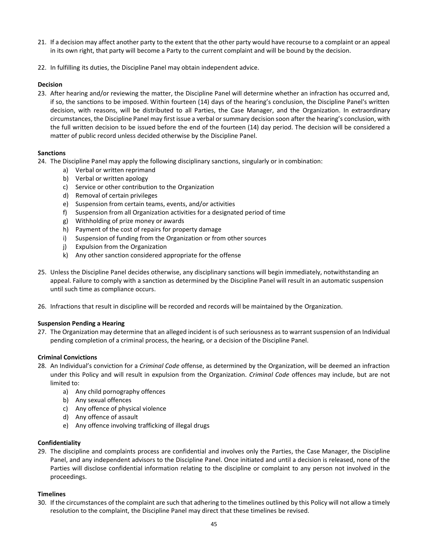- 21. If a decision may affect another party to the extent that the other party would have recourse to a complaint or an appeal in its own right, that party will become a Party to the current complaint and will be bound by the decision.
- 22. In fulfilling its duties, the Discipline Panel may obtain independent advice.

## **Decision**

23. After hearing and/or reviewing the matter, the Discipline Panel will determine whether an infraction has occurred and, if so, the sanctions to be imposed. Within fourteen (14) days of the hearing's conclusion, the Discipline Panel's written decision, with reasons, will be distributed to all Parties, the Case Manager, and the Organization. In extraordinary circumstances, the Discipline Panel may first issue a verbal or summary decision soon after the hearing's conclusion, with the full written decision to be issued before the end of the fourteen (14) day period. The decision will be considered a matter of public record unless decided otherwise by the Discipline Panel.

### **Sanctions**

- 24. The Discipline Panel may apply the following disciplinary sanctions, singularly or in combination:
	- a) Verbal or written reprimand
	- b) Verbal or written apology
	- c) Service or other contribution to the Organization
	- d) Removal of certain privileges
	- e) Suspension from certain teams, events, and/or activities
	- f) Suspension from all Organization activities for a designated period of time
	- g) Withholding of prize money or awards
	- h) Payment of the cost of repairs for property damage
	- i) Suspension of funding from the Organization or from other sources
	- j) Expulsion from the Organization
	- k) Any other sanction considered appropriate for the offense
- 25. Unless the Discipline Panel decides otherwise, any disciplinary sanctions will begin immediately, notwithstanding an appeal. Failure to comply with a sanction as determined by the Discipline Panel will result in an automatic suspension until such time as compliance occurs.
- 26. Infractions that result in discipline will be recorded and records will be maintained by the Organization.

### **Suspension Pending a Hearing**

27. The Organization may determine that an alleged incident is of such seriousness as to warrant suspension of an Individual pending completion of a criminal process, the hearing, or a decision of the Discipline Panel.

### **Criminal Convictions**

- 28. An Individual's conviction for a *Criminal Code* offense, as determined by the Organization, will be deemed an infraction under this Policy and will result in expulsion from the Organization. *Criminal Code* offences may include, but are not limited to:
	- a) Any child pornography offences
	- b) Any sexual offences
	- c) Any offence of physical violence
	- d) Any offence of assault
	- e) Any offence involving trafficking of illegal drugs

### **Confidentiality**

29. The discipline and complaints process are confidential and involves only the Parties, the Case Manager, the Discipline Panel, and any independent advisors to the Discipline Panel. Once initiated and until a decision is released, none of the Parties will disclose confidential information relating to the discipline or complaint to any person not involved in the proceedings.

### **Timelines**

30. If the circumstances of the complaint are such that adhering to the timelines outlined by this Policy will not allow a timely resolution to the complaint, the Discipline Panel may direct that these timelines be revised.